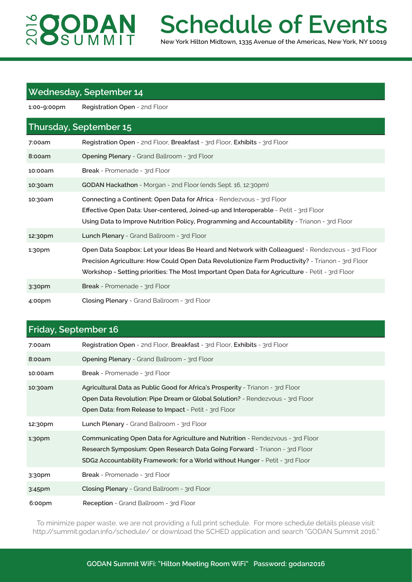# **SOODAN**

## **Schedule of Events**

**New York Hilton Midtown, 1335 Avenue of the Americas, New York, NY 10019**

#### **Wednesday, September 14**

**1:00-9:00pm Registration Open** - 2nd Floor

#### **Thursday, September 15**

| 7:00am             | Registration Open - 2nd Floor, Breakfast - 3rd Floor, Exhibits - 3rd Floor                                                                                                                                                                                                                               |
|--------------------|----------------------------------------------------------------------------------------------------------------------------------------------------------------------------------------------------------------------------------------------------------------------------------------------------------|
| 8:00am             | Opening Plenary - Grand Ballroom - 3rd Floor                                                                                                                                                                                                                                                             |
| 10:00am            | <b>Break</b> - Promenade - 3rd Floor                                                                                                                                                                                                                                                                     |
| 10:30am            | <b>GODAN Hackathon</b> - Morgan - 2nd Floor (ends Sept. 16, 12:30pm)                                                                                                                                                                                                                                     |
| 10:30am            | Connecting a Continent: Open Data for Africa - Rendezvous - 3rd Floor<br><b>Effective Open Data: User-centered, Joined-up and Interoperable</b> - Petit - 3rd Floor<br>Using Data to Improve Nutrition Policy, Programming and Accountability - Trianon - 3rd Floor                                      |
| 12:30pm            | <b>Lunch Plenary</b> - Grand Ballroom - 3rd Floor                                                                                                                                                                                                                                                        |
| 1:30 <sub>pm</sub> | Open Data Soapbox: Let your Ideas Be Heard and Network with Colleagues! - Rendezvous - 3rd Floor<br>Precision Agriculture: How Could Open Data Revolutionize Farm Productivity? - Trianon - 3rd Floor<br>Workshop - Setting priorities: The Most Important Open Data for Agriculture - Petit - 3rd Floor |
| 3:30 <sub>pm</sub> | <b>Break</b> - Promenade - 3rd Floor                                                                                                                                                                                                                                                                     |
| 4:00pm             | Closing Plenary - Grand Ballroom - 3rd Floor                                                                                                                                                                                                                                                             |

#### **Friday, September 16**

| 7:00am             | Registration Open - 2nd Floor, Breakfast - 3rd Floor, Exhibits - 3rd Floor                                                                                                                                                                    |
|--------------------|-----------------------------------------------------------------------------------------------------------------------------------------------------------------------------------------------------------------------------------------------|
| 8:00am             | <b>Opening Plenary</b> - Grand Ballroom - 3rd Floor                                                                                                                                                                                           |
| 10:00am            | Break - Promenade - 3rd Floor                                                                                                                                                                                                                 |
| 10:30am            | Agricultural Data as Public Good for Africa's Prosperity - Trianon - 3rd Floor<br>Open Data Revolution: Pipe Dream or Global Solution? - Rendezvous - 3rd Floor<br><b>Open Data: from Release to Impact - Petit - 3rd Floor</b>               |
| 12:30pm            | Lunch Plenary - Grand Ballroom - 3rd Floor                                                                                                                                                                                                    |
| 1:30 <sub>pm</sub> | Communicating Open Data for Agriculture and Nutrition - Rendezvous - 3rd Floor<br>Research Symposium: Open Research Data Going Forward - Trianon - 3rd Floor<br>SDG2 Accountability Framework: for a World without Hunger - Petit - 3rd Floor |
| 3:30 <sub>pm</sub> | <b>Break</b> - Promenade - 3rd Floor                                                                                                                                                                                                          |
| $3:45$ pm          | Closing Plenary - Grand Ballroom - 3rd Floor                                                                                                                                                                                                  |
| 6:00pm             | Reception - Grand Ballroom - 3rd Floor                                                                                                                                                                                                        |

To minimize paper waste, we are not providing a full print schedule. For more schedule details please visit: http://summit.godan.info/schedule/ or download the SCHED application and search "GODAN Summit 2016."